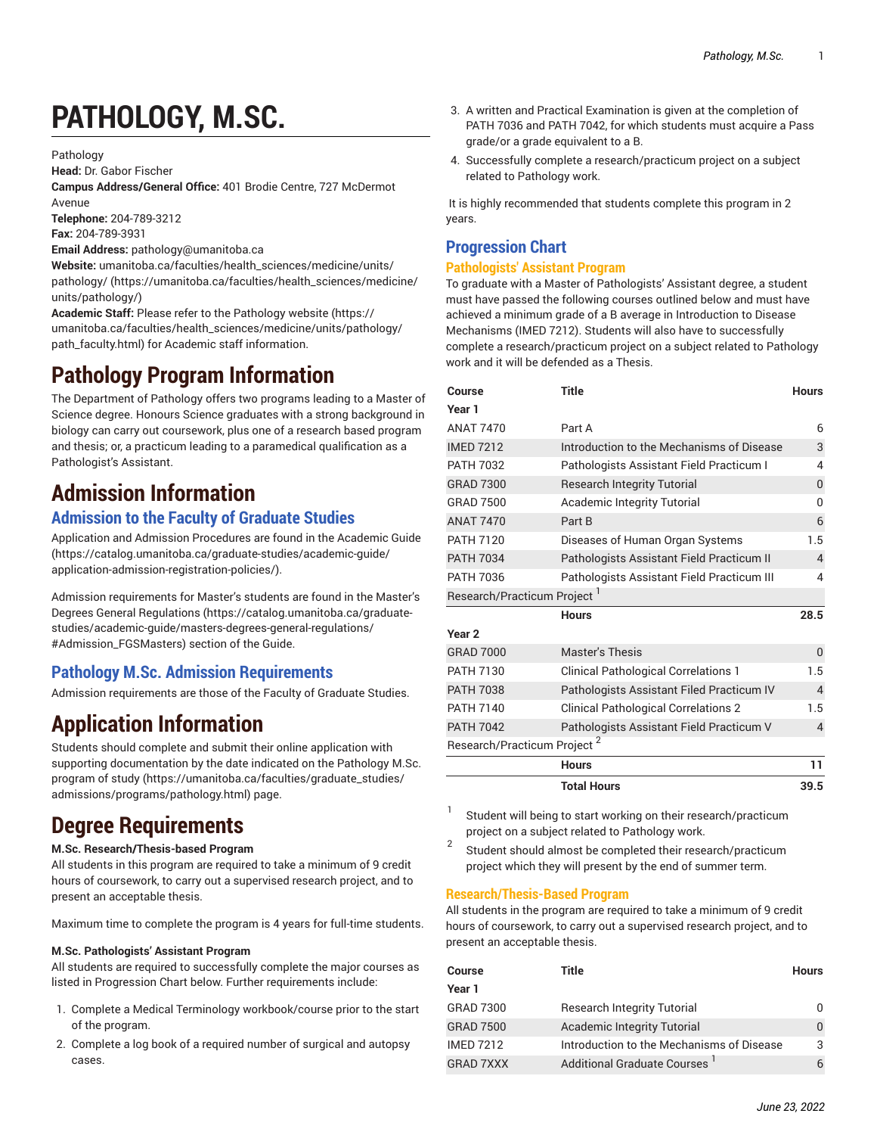# **PATHOLOGY, M.SC.**

Pathology

**Head:** Dr. Gabor Fischer

**Campus Address/General Office:** 401 Brodie Centre, 727 McDermot Avenue

**Telephone:** 204-789-3212 **Fax:** 204-789-3931

**Email Address:** [pathology@umanitoba.ca](mailto:pathology@umanitoba.ca)

**Website:** [umanitoba.ca/faculties/health\\_sciences/medicine/units/](https://umanitoba.ca/faculties/health_sciences/medicine/units/pathology/) [pathology/](https://umanitoba.ca/faculties/health_sciences/medicine/units/pathology/) ([https://umanitoba.ca/faculties/health\\_sciences/medicine/](https://umanitoba.ca/faculties/health_sciences/medicine/units/pathology/) [units/pathology/\)](https://umanitoba.ca/faculties/health_sciences/medicine/units/pathology/)

**Academic Staff:** Please refer to the [Pathology](https://umanitoba.ca/faculties/health_sciences/medicine/units/pathology/path_faculty.html) website [\(https://](https://umanitoba.ca/faculties/health_sciences/medicine/units/pathology/path_faculty.html) [umanitoba.ca/faculties/health\\_sciences/medicine/units/pathology/](https://umanitoba.ca/faculties/health_sciences/medicine/units/pathology/path_faculty.html) [path\\_faculty.html](https://umanitoba.ca/faculties/health_sciences/medicine/units/pathology/path_faculty.html)) for Academic staff information.

# **Pathology Program Information**

The Department of Pathology offers two programs leading to a Master of Science degree. Honours Science graduates with a strong background in biology can carry out coursework, plus one of a research based program and thesis; or, a practicum leading to a paramedical qualification as a Pathologist's Assistant.

# **Admission Information**

### **Admission to the Faculty of Graduate Studies**

Application and Admission Procedures are found in the [Academic Guide](https://catalog.umanitoba.ca/graduate-studies/academic-guide/application-admission-registration-policies/) ([https://catalog.umanitoba.ca/graduate-studies/academic-guide/](https://catalog.umanitoba.ca/graduate-studies/academic-guide/application-admission-registration-policies/) [application-admission-registration-policies/](https://catalog.umanitoba.ca/graduate-studies/academic-guide/application-admission-registration-policies/)).

Admission requirements for Master's students are found in the [Master's](https://catalog.umanitoba.ca/graduate-studies/academic-guide/masters-degrees-general-regulations/#Admission_FGSMasters) Degrees General [Regulations](https://catalog.umanitoba.ca/graduate-studies/academic-guide/masters-degrees-general-regulations/#Admission_FGSMasters) ([https://catalog.umanitoba.ca/graduate](https://catalog.umanitoba.ca/graduate-studies/academic-guide/masters-degrees-general-regulations/#Admission_FGSMasters)[studies/academic-guide/masters-degrees-general-regulations/](https://catalog.umanitoba.ca/graduate-studies/academic-guide/masters-degrees-general-regulations/#Admission_FGSMasters) [#Admission\\_FGSMasters](https://catalog.umanitoba.ca/graduate-studies/academic-guide/masters-degrees-general-regulations/#Admission_FGSMasters)) section of the Guide.

### **Pathology M.Sc. Admission Requirements**

Admission requirements are those of the Faculty of Graduate Studies.

# **Application Information**

Students should complete and submit their online application with supporting documentation by the date indicated on the [Pathology](https://umanitoba.ca/faculties/graduate_studies/admissions/programs/pathology.html) M.Sc. [program](https://umanitoba.ca/faculties/graduate_studies/admissions/programs/pathology.html) of study [\(https://umanitoba.ca/faculties/graduate\\_studies/](https://umanitoba.ca/faculties/graduate_studies/admissions/programs/pathology.html) [admissions/programs/pathology.html](https://umanitoba.ca/faculties/graduate_studies/admissions/programs/pathology.html)) page.

# **Degree Requirements**

#### **M.Sc. Research/Thesis-based Program**

All students in this program are required to take a minimum of 9 credit hours of coursework, to carry out a supervised research project, and to present an acceptable thesis.

Maximum time to complete the program is 4 years for full-time students.

#### **M.Sc. Pathologists' Assistant Program**

All students are required to successfully complete the major courses as listed in Progression Chart below. Further requirements include:

- 1. Complete a Medical Terminology workbook/course prior to the start of the program.
- 2. Complete a log book of a required number of surgical and autopsy cases.
- 3. A written and Practical Examination is given at the completion of PATH 7036 and PATH 7042, for which students must acquire a Pass grade/or a grade equivalent to a B.
- 4. Successfully complete a research/practicum project on a subject related to Pathology work.

It is highly recommended that students complete this program in 2 years.

#### **Progression Chart**

#### **Pathologists' Assistant Program**

To graduate with a Master of Pathologists' Assistant degree, a student must have passed the following courses outlined below and must have achieved a minimum grade of a B average in Introduction to Disease Mechanisms (IMED 7212). Students will also have to successfully complete a research/practicum project on a subject related to Pathology work and it will be defended as a Thesis.

| Course                                  | <b>Title</b>                                | <b>Hours</b> |  |  |  |
|-----------------------------------------|---------------------------------------------|--------------|--|--|--|
| Year 1                                  |                                             |              |  |  |  |
| <b>ANAT 7470</b>                        | Part A                                      |              |  |  |  |
| <b>IMED 7212</b>                        | Introduction to the Mechanisms of Disease   |              |  |  |  |
| <b>PATH 7032</b>                        | Pathologists Assistant Field Practicum I    |              |  |  |  |
| <b>GRAD 7300</b>                        | <b>Research Integrity Tutorial</b>          |              |  |  |  |
| <b>GRAD 7500</b>                        | <b>Academic Integrity Tutorial</b>          |              |  |  |  |
| <b>ANAT 7470</b>                        | Part B                                      |              |  |  |  |
| <b>PATH 7120</b>                        | Diseases of Human Organ Systems             |              |  |  |  |
| <b>PATH 7034</b>                        | Pathologists Assistant Field Practicum II   |              |  |  |  |
| <b>PATH 7036</b>                        | Pathologists Assistant Field Practicum III  |              |  |  |  |
| Research/Practicum Project              |                                             |              |  |  |  |
|                                         | <b>Hours</b>                                | 28.5         |  |  |  |
| Year <sub>2</sub>                       |                                             |              |  |  |  |
| <b>GRAD 7000</b>                        | <b>Master's Thesis</b>                      |              |  |  |  |
| <b>PATH 7130</b>                        | <b>Clinical Pathological Correlations 1</b> |              |  |  |  |
| <b>PATH 7038</b>                        | Pathologists Assistant Filed Practicum IV   |              |  |  |  |
| <b>PATH 7140</b>                        | <b>Clinical Pathological Correlations 2</b> |              |  |  |  |
| <b>PATH 7042</b>                        | Pathologists Assistant Field Practicum V    |              |  |  |  |
| Research/Practicum Project <sup>2</sup> |                                             |              |  |  |  |
|                                         | <b>Hours</b>                                | 11           |  |  |  |
|                                         | <b>Total Hours</b>                          | 39.5         |  |  |  |

1 Student will being to start working on their research/practicum project on a subject related to Pathology work.

2 Student should almost be completed their research/practicum project which they will present by the end of summer term.

#### **Research/Thesis-Based Program**

All students in the program are required to take a minimum of 9 credit hours of coursework, to carry out a supervised research project, and to present an acceptable thesis.

| Course           | Title                                     | <b>Hours</b> |
|------------------|-------------------------------------------|--------------|
| Year 1           |                                           |              |
| <b>GRAD 7300</b> | <b>Research Integrity Tutorial</b>        |              |
| <b>GRAD 7500</b> | <b>Academic Integrity Tutorial</b>        |              |
| <b>IMFD 7212</b> | Introduction to the Mechanisms of Disease | 3            |
| <b>GRAD 7XXX</b> | Additional Graduate Courses               |              |